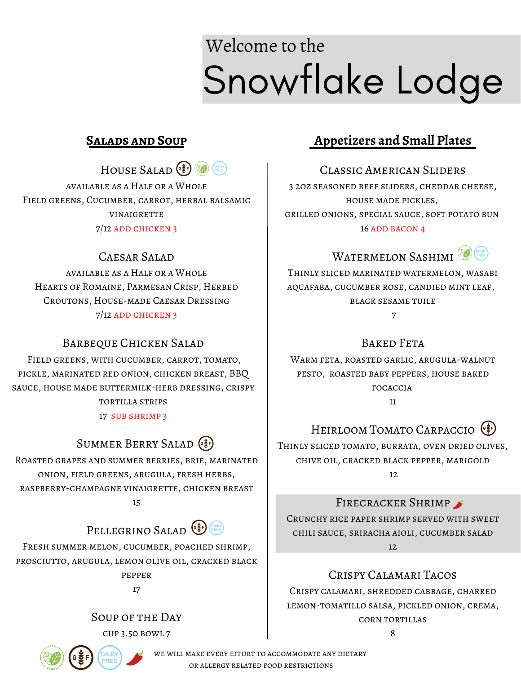# Snowflake Lodge Welcome to the

HOUSE SALAD<sup>(1)</sup> available as a Half or a Whole Field greens, Cucumber, carrot, herbal balsamic **VINAIGRETTE** 

7/12 add chicken 3

#### CAESAR SALAD

available as a Half or a Whole Hearts of Romaine, Parmesan Crisp, Herbed Croutons, House-made Caesar Dressing 7/12 ADD CHICKEN 3

#### Barbeque Chicken Salad

Field greens, with cucumber, carrot, tomato, pickle, marinated red onion, chicken breast, BBQ sauce, house made buttermilk-herb dressing, crispy tortilla strips

17 sub shrimp 3

## SUMMER BERRY SALAD (F)

Roasted grapes and summer berries, brie, marinated onion, field greens, arugula, fresh herbs, raspberry-champagne vinaigrette, chicken breast 15

## PELLEGRINO SALAD

Fresh summer melon, cucumber, poached shrimp, prosciutto, arugula, lemon olive oil, cracked black pepper

17

Soup of the Day cup 3.50 bowl 7



WE WILL MAKE EVERY EFFORT TO ACCOMMODATE ANY DIETARY or allergy related food restrictions

## **Salads and Soup Appetizers and Small Plates**

Classic American Sliders 3 2oz seasoned beef sliders, cheddar cheese, house made pickles, grilled onions, special sauce, soft potato bun 16 ADD BACON 4



Thinly sliced marinated watermelon, wasabi aquafaba, cucumber rose, candied mint leaf, black sesame tuile 7

Baked Feta

Warm feta, roasted garlic, arugula-walnut pesto, roasted baby peppers, house baked focaccia

11

## HEIRLOOM TOMATO CARPACCIO<sup>(!)</sup>

Thinly sliced tomato, burrata, oven dried olives, chive oil, cracked black pepper, marigold 12.

FIRECRACKER SHRIMP

Crunchy rice paper shrimp served with sweet chili sauce, sriracha aioli, cucumber salad 12

### Crispy Calamari Tacos

Crispy calamari, shredded cabbage, charred lemon-tomatillo salsa, pickled onion, crema, corn tortillas

 $\mathbf{Q}$